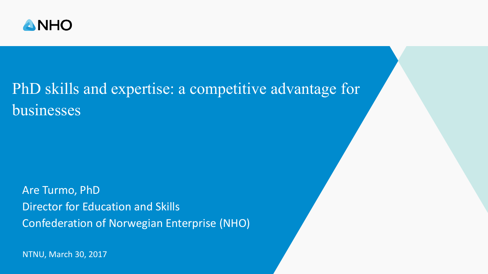

## PhD skills and expertise: a competitive advantage for businesses

Are Turmo, PhD Director for Education and Skills Confederation of Norwegian Enterprise (NHO)

NTNU, March 30, 2017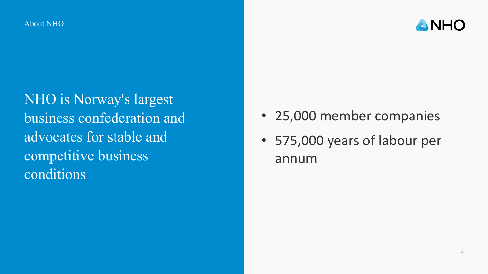About NHO



NHO is Norway's largest business confederation and advocates for stable and competitive business conditions

- 25,000 member companies
- 575,000 years of labour per annum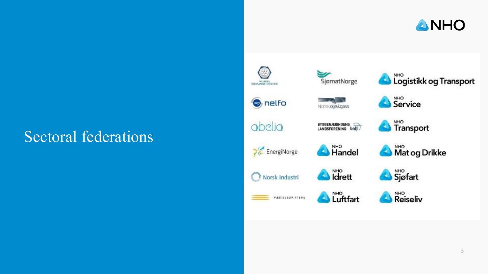

# Sectoral federations

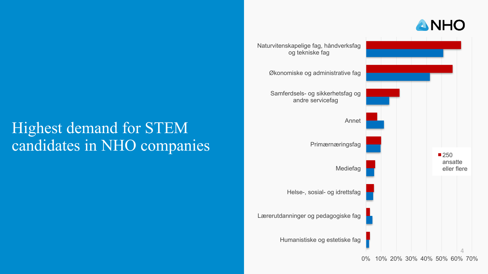

## Highest demand for STEM candidates in NHO companies

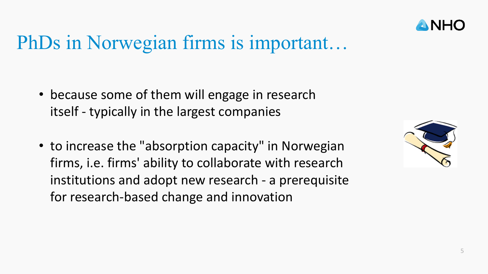

## PhDs in Norwegian firms is important…

- because some of them will engage in research itself - typically in the largest companies
- to increase the "absorption capacity" in Norwegian firms, i.e. firms' ability to collaborate with research institutions and adopt new research - a prerequisite for research-based change and innovation

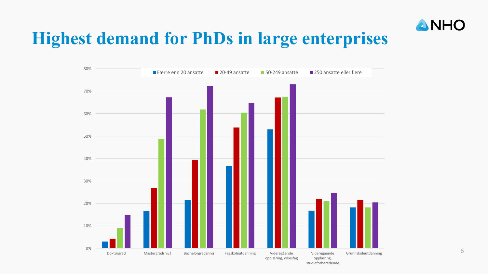

## **Highest demand for PhDs in large enterprises**

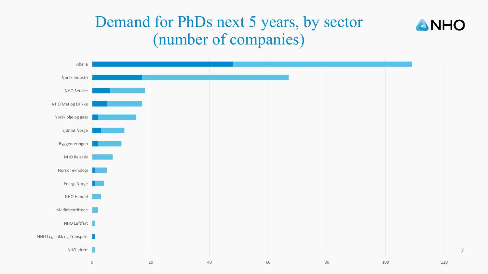### Demand for PhDs next 5 years, by sector (number of companies)





7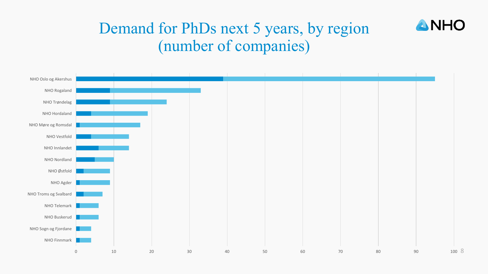

### Demand for PhDs next 5 years, by region (number of companies)

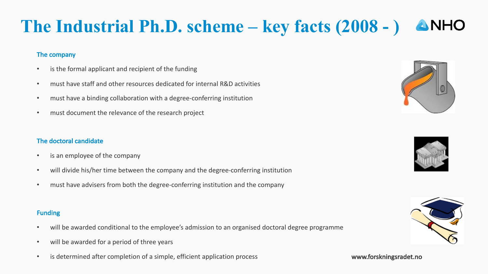### **The Industrial Ph.D. scheme – key facts (2008 - )** ANHO

#### The company

- is the formal applicant and recipient of the funding
- must have staff and other resources dedicated for internal R&D activities
- must have a binding collaboration with a degree-conferring institution
- must document the relevance of the research project

### The doctoral candidate

- is an employee of the company
- will divide his/her time between the company and the degree-conferring institution
- must have advisers from both the degree-conferring institution and the company

#### Funding

- will be awarded conditional to the employee's admission to an organised doctoral degree programme
- will be awarded for a period of three years
- is determined after completion of a simple, efficient application process **by a set of the set of the set of the set of the set of the set of the set of the set of the set of the set of the set of the set of the set of t**